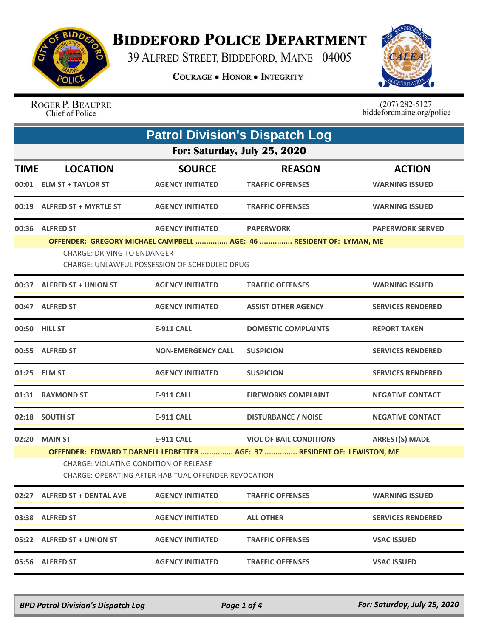

## **BIDDEFORD POLICE DEPARTMENT**

39 ALFRED STREET, BIDDEFORD, MAINE 04005

**COURAGE . HONOR . INTEGRITY** 



ROGER P. BEAUPRE Chief of Police

 $(207)$  282-5127<br>biddefordmaine.org/police

|                              | <b>Patrol Division's Dispatch Log</b>                                                                                                                                                                                                                                        |                                          |                                          |                                        |  |  |
|------------------------------|------------------------------------------------------------------------------------------------------------------------------------------------------------------------------------------------------------------------------------------------------------------------------|------------------------------------------|------------------------------------------|----------------------------------------|--|--|
| For: Saturday, July 25, 2020 |                                                                                                                                                                                                                                                                              |                                          |                                          |                                        |  |  |
| <b>TIME</b>                  | <b>LOCATION</b><br>00:01 ELM ST + TAYLOR ST                                                                                                                                                                                                                                  | <b>SOURCE</b><br><b>AGENCY INITIATED</b> | <b>REASON</b><br><b>TRAFFIC OFFENSES</b> | <b>ACTION</b><br><b>WARNING ISSUED</b> |  |  |
|                              | 00:19 ALFRED ST + MYRTLE ST                                                                                                                                                                                                                                                  | <b>AGENCY INITIATED</b>                  | <b>TRAFFIC OFFENSES</b>                  | <b>WARNING ISSUED</b>                  |  |  |
|                              | 00:36 ALFRED ST<br><b>AGENCY INITIATED</b><br><b>PAPERWORK</b><br><b>PAPERWORK SERVED</b><br>OFFENDER: GREGORY MICHAEL CAMPBELL  AGE: 46  RESIDENT OF: LYMAN, ME<br><b>CHARGE: DRIVING TO ENDANGER</b><br>CHARGE: UNLAWFUL POSSESSION OF SCHEDULED DRUG                      |                                          |                                          |                                        |  |  |
|                              | 00:37 ALFRED ST + UNION ST                                                                                                                                                                                                                                                   | <b>AGENCY INITIATED</b>                  | <b>TRAFFIC OFFENSES</b>                  | <b>WARNING ISSUED</b>                  |  |  |
|                              | 00:47 ALFRED ST                                                                                                                                                                                                                                                              | <b>AGENCY INITIATED</b>                  | <b>ASSIST OTHER AGENCY</b>               | <b>SERVICES RENDERED</b>               |  |  |
|                              | 00:50 HILL ST                                                                                                                                                                                                                                                                | <b>E-911 CALL</b>                        | <b>DOMESTIC COMPLAINTS</b>               | <b>REPORT TAKEN</b>                    |  |  |
|                              | 00:55 ALFRED ST                                                                                                                                                                                                                                                              | <b>NON-EMERGENCY CALL</b>                | <b>SUSPICION</b>                         | <b>SERVICES RENDERED</b>               |  |  |
|                              | 01:25 ELM ST                                                                                                                                                                                                                                                                 | <b>AGENCY INITIATED</b>                  | <b>SUSPICION</b>                         | <b>SERVICES RENDERED</b>               |  |  |
|                              | 01:31 RAYMOND ST                                                                                                                                                                                                                                                             | <b>E-911 CALL</b>                        | <b>FIREWORKS COMPLAINT</b>               | <b>NEGATIVE CONTACT</b>                |  |  |
| 02:18                        | <b>SOUTH ST</b>                                                                                                                                                                                                                                                              | <b>E-911 CALL</b>                        | <b>DISTURBANCE / NOISE</b>               | <b>NEGATIVE CONTACT</b>                |  |  |
| 02:20                        | <b>MAIN ST</b><br><b>E-911 CALL</b><br><b>VIOL OF BAIL CONDITIONS</b><br><b>ARREST(S) MADE</b><br>OFFENDER: EDWARD T DARNELL LEDBETTER  AGE: 37  RESIDENT OF: LEWISTON, ME<br>CHARGE: VIOLATING CONDITION OF RELEASE<br>CHARGE: OPERATING AFTER HABITUAL OFFENDER REVOCATION |                                          |                                          |                                        |  |  |
|                              | 02:27 ALFRED ST + DENTAL AVE                                                                                                                                                                                                                                                 | <b>AGENCY INITIATED</b>                  | <b>TRAFFIC OFFENSES</b>                  | <b>WARNING ISSUED</b>                  |  |  |
|                              | 03:38 ALFRED ST                                                                                                                                                                                                                                                              | <b>AGENCY INITIATED</b>                  | <b>ALL OTHER</b>                         | <b>SERVICES RENDERED</b>               |  |  |
|                              | 05:22 ALFRED ST + UNION ST                                                                                                                                                                                                                                                   | <b>AGENCY INITIATED</b>                  | <b>TRAFFIC OFFENSES</b>                  | <b>VSAC ISSUED</b>                     |  |  |
|                              | 05:56 ALFRED ST                                                                                                                                                                                                                                                              | <b>AGENCY INITIATED</b>                  | <b>TRAFFIC OFFENSES</b>                  | <b>VSAC ISSUED</b>                     |  |  |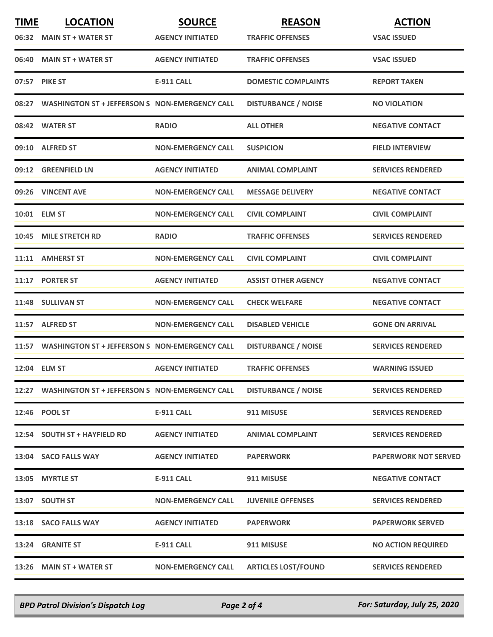| <b>TIME</b> | <b>LOCATION</b>                                      | <b>SOURCE</b>             | <b>REASON</b>              | <b>ACTION</b>               |
|-------------|------------------------------------------------------|---------------------------|----------------------------|-----------------------------|
|             | 06:32 MAIN ST + WATER ST                             | <b>AGENCY INITIATED</b>   | <b>TRAFFIC OFFENSES</b>    | <b>VSAC ISSUED</b>          |
|             | 06:40 MAIN ST + WATER ST                             | <b>AGENCY INITIATED</b>   | <b>TRAFFIC OFFENSES</b>    | <b>VSAC ISSUED</b>          |
|             | 07:57 PIKE ST                                        | <b>E-911 CALL</b>         | <b>DOMESTIC COMPLAINTS</b> | <b>REPORT TAKEN</b>         |
|             | 08:27 WASHINGTON ST + JEFFERSON S NON-EMERGENCY CALL |                           | <b>DISTURBANCE / NOISE</b> | <b>NO VIOLATION</b>         |
|             | 08:42 WATER ST                                       | <b>RADIO</b>              | <b>ALL OTHER</b>           | <b>NEGATIVE CONTACT</b>     |
|             | 09:10 ALFRED ST                                      | <b>NON-EMERGENCY CALL</b> | <b>SUSPICION</b>           | <b>FIELD INTERVIEW</b>      |
|             | 09:12 GREENFIELD LN                                  | <b>AGENCY INITIATED</b>   | <b>ANIMAL COMPLAINT</b>    | <b>SERVICES RENDERED</b>    |
|             | 09:26 VINCENT AVE                                    | <b>NON-EMERGENCY CALL</b> | <b>MESSAGE DELIVERY</b>    | <b>NEGATIVE CONTACT</b>     |
|             | 10:01 ELM ST                                         | <b>NON-EMERGENCY CALL</b> | <b>CIVIL COMPLAINT</b>     | <b>CIVIL COMPLAINT</b>      |
| 10:45       | <b>MILE STRETCH RD</b>                               | <b>RADIO</b>              | <b>TRAFFIC OFFENSES</b>    | <b>SERVICES RENDERED</b>    |
|             | 11:11 AMHERST ST                                     | <b>NON-EMERGENCY CALL</b> | <b>CIVIL COMPLAINT</b>     | <b>CIVIL COMPLAINT</b>      |
|             | 11:17 PORTER ST                                      | <b>AGENCY INITIATED</b>   | <b>ASSIST OTHER AGENCY</b> | <b>NEGATIVE CONTACT</b>     |
|             | 11:48 SULLIVAN ST                                    | <b>NON-EMERGENCY CALL</b> | <b>CHECK WELFARE</b>       | <b>NEGATIVE CONTACT</b>     |
|             | 11:57 ALFRED ST                                      | <b>NON-EMERGENCY CALL</b> | <b>DISABLED VEHICLE</b>    | <b>GONE ON ARRIVAL</b>      |
|             | 11:57 WASHINGTON ST + JEFFERSON S NON-EMERGENCY CALL |                           | <b>DISTURBANCE / NOISE</b> | <b>SERVICES RENDERED</b>    |
|             | 12:04 ELM ST                                         | <b>AGENCY INITIATED</b>   | <b>TRAFFIC OFFENSES</b>    | <b>WARNING ISSUED</b>       |
|             | 12:27 WASHINGTON ST + JEFFERSON S NON-EMERGENCY CALL |                           | <b>DISTURBANCE / NOISE</b> | <b>SERVICES RENDERED</b>    |
|             | 12:46 POOL ST                                        | <b>E-911 CALL</b>         | 911 MISUSE                 | <b>SERVICES RENDERED</b>    |
|             | 12:54 SOUTH ST + HAYFIELD RD                         | <b>AGENCY INITIATED</b>   | <b>ANIMAL COMPLAINT</b>    | <b>SERVICES RENDERED</b>    |
|             | 13:04 SACO FALLS WAY                                 | <b>AGENCY INITIATED</b>   | <b>PAPERWORK</b>           | <b>PAPERWORK NOT SERVED</b> |
|             | 13:05 MYRTLE ST                                      | <b>E-911 CALL</b>         | 911 MISUSE                 | <b>NEGATIVE CONTACT</b>     |
|             | 13:07 SOUTH ST                                       | <b>NON-EMERGENCY CALL</b> | <b>JUVENILE OFFENSES</b>   | <b>SERVICES RENDERED</b>    |
|             | 13:18 SACO FALLS WAY                                 | <b>AGENCY INITIATED</b>   | <b>PAPERWORK</b>           | <b>PAPERWORK SERVED</b>     |
|             | 13:24 GRANITE ST                                     | <b>E-911 CALL</b>         | 911 MISUSE                 | <b>NO ACTION REQUIRED</b>   |
|             | 13:26 MAIN ST + WATER ST                             | <b>NON-EMERGENCY CALL</b> | <b>ARTICLES LOST/FOUND</b> | <b>SERVICES RENDERED</b>    |

*BPD Patrol Division's Dispatch Log Page 2 of 4 For: Saturday, July 25, 2020*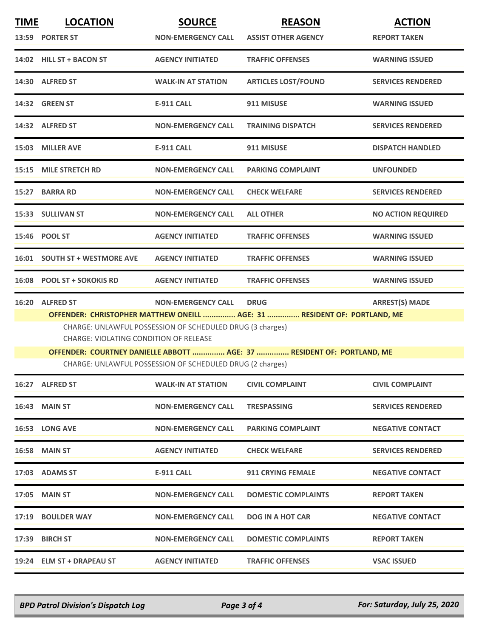| <b>TIME</b> | <b>LOCATION</b><br>13:59 PORTER ST                                                                                                                                                                                                                        | <b>SOURCE</b><br><b>NON-EMERGENCY CALL</b>                | <b>REASON</b><br><b>ASSIST OTHER AGENCY</b> | <b>ACTION</b><br><b>REPORT TAKEN</b> |  |
|-------------|-----------------------------------------------------------------------------------------------------------------------------------------------------------------------------------------------------------------------------------------------------------|-----------------------------------------------------------|---------------------------------------------|--------------------------------------|--|
|             | 14:02 HILL ST + BACON ST                                                                                                                                                                                                                                  | <b>AGENCY INITIATED</b>                                   | <b>TRAFFIC OFFENSES</b>                     | <b>WARNING ISSUED</b>                |  |
|             | 14:30 ALFRED ST                                                                                                                                                                                                                                           | <b>WALK-IN AT STATION</b>                                 | <b>ARTICLES LOST/FOUND</b>                  | <b>SERVICES RENDERED</b>             |  |
|             | 14:32 GREEN ST                                                                                                                                                                                                                                            | <b>E-911 CALL</b>                                         | 911 MISUSE                                  | <b>WARNING ISSUED</b>                |  |
|             | 14:32 ALFRED ST                                                                                                                                                                                                                                           | <b>NON-EMERGENCY CALL</b>                                 | <b>TRAINING DISPATCH</b>                    | <b>SERVICES RENDERED</b>             |  |
|             | 15:03 MILLER AVE                                                                                                                                                                                                                                          | <b>E-911 CALL</b>                                         | 911 MISUSE                                  | <b>DISPATCH HANDLED</b>              |  |
| 15:15       | <b>MILE STRETCH RD</b>                                                                                                                                                                                                                                    | <b>NON-EMERGENCY CALL</b>                                 | <b>PARKING COMPLAINT</b>                    | <b>UNFOUNDED</b>                     |  |
|             | 15:27 BARRA RD                                                                                                                                                                                                                                            | <b>NON-EMERGENCY CALL</b>                                 | <b>CHECK WELFARE</b>                        | <b>SERVICES RENDERED</b>             |  |
|             | 15:33 SULLIVAN ST                                                                                                                                                                                                                                         | <b>NON-EMERGENCY CALL</b>                                 | <b>ALL OTHER</b>                            | <b>NO ACTION REQUIRED</b>            |  |
|             | 15:46 POOL ST                                                                                                                                                                                                                                             | <b>AGENCY INITIATED</b>                                   | <b>TRAFFIC OFFENSES</b>                     | <b>WARNING ISSUED</b>                |  |
|             | 16:01 SOUTH ST + WESTMORE AVE                                                                                                                                                                                                                             | <b>AGENCY INITIATED</b>                                   | <b>TRAFFIC OFFENSES</b>                     | <b>WARNING ISSUED</b>                |  |
|             | 16:08 POOL ST + SOKOKIS RD                                                                                                                                                                                                                                | <b>AGENCY INITIATED</b>                                   | <b>TRAFFIC OFFENSES</b>                     | <b>WARNING ISSUED</b>                |  |
|             | 16:20 ALFRED ST                                                                                                                                                                                                                                           | <b>NON-EMERGENCY CALL</b>                                 | <b>DRUG</b>                                 | <b>ARREST(S) MADE</b>                |  |
|             | OFFENDER: CHRISTOPHER MATTHEW ONEILL  AGE: 31  RESIDENT OF: PORTLAND, ME<br>CHARGE: UNLAWFUL POSSESSION OF SCHEDULED DRUG (3 charges)<br>CHARGE: VIOLATING CONDITION OF RELEASE<br>OFFENDER: COURTNEY DANIELLE ABBOTT  AGE: 37  RESIDENT OF: PORTLAND, ME |                                                           |                                             |                                      |  |
|             |                                                                                                                                                                                                                                                           | CHARGE: UNLAWFUL POSSESSION OF SCHEDULED DRUG (2 charges) |                                             |                                      |  |
|             | 16:27 ALFRED ST                                                                                                                                                                                                                                           | <b>WALK-IN AT STATION</b>                                 | <b>CIVIL COMPLAINT</b>                      | <b>CIVIL COMPLAINT</b>               |  |
|             | <b>16:43 MAIN ST</b>                                                                                                                                                                                                                                      | <b>NON-EMERGENCY CALL</b>                                 | <b>TRESPASSING</b>                          | <b>SERVICES RENDERED</b>             |  |
|             | 16:53 LONG AVE                                                                                                                                                                                                                                            | <b>NON-EMERGENCY CALL</b>                                 | <b>PARKING COMPLAINT</b>                    | <b>NEGATIVE CONTACT</b>              |  |
|             | <b>16:58 MAIN ST</b>                                                                                                                                                                                                                                      | <b>AGENCY INITIATED</b>                                   | <b>CHECK WELFARE</b>                        | <b>SERVICES RENDERED</b>             |  |
|             | 17:03 ADAMS ST                                                                                                                                                                                                                                            | E-911 CALL                                                | <b>911 CRYING FEMALE</b>                    | <b>NEGATIVE CONTACT</b>              |  |
|             | 17:05 MAIN ST                                                                                                                                                                                                                                             | <b>NON-EMERGENCY CALL</b>                                 | <b>DOMESTIC COMPLAINTS</b>                  | <b>REPORT TAKEN</b>                  |  |
|             | 17:19 BOULDER WAY                                                                                                                                                                                                                                         | <b>NON-EMERGENCY CALL</b>                                 | <b>DOG IN A HOT CAR</b>                     | <b>NEGATIVE CONTACT</b>              |  |
|             | 17:39 BIRCH ST                                                                                                                                                                                                                                            | <b>NON-EMERGENCY CALL</b>                                 | <b>DOMESTIC COMPLAINTS</b>                  | <b>REPORT TAKEN</b>                  |  |
|             | 19:24 ELM ST + DRAPEAU ST                                                                                                                                                                                                                                 | <b>AGENCY INITIATED</b>                                   | <b>TRAFFIC OFFENSES</b>                     | <b>VSAC ISSUED</b>                   |  |

*BPD Patrol Division's Dispatch Log Page 3 of 4 For: Saturday, July 25, 2020*